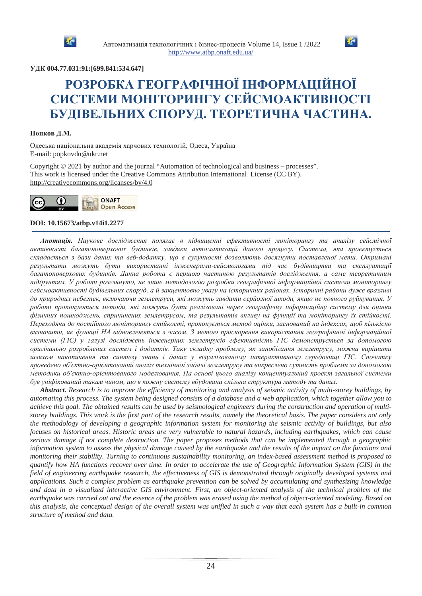



## **ɍȾɄ 004.77.031:91:[699.841:534.647]**

# **РОЗРОБКА ГЕОГРАФІЧНОЇ ІНФОРМАЦІЙНОЇ** СИСТЕМИ МОНІТОРИНГУ СЕЙСМОАКТИВНОСТІ БУДІВЕЛЬНИХ СПОРУД. ТЕОРЕТИЧНА ЧАСТИНА.

#### Попков Д.М.

Одеська національна академія харчових технологій, Одеса, Україна E-mail: popkovdn@ukr.net

Copyright © 2021 by author and the journal "Automation of technological and business – processes". This work is licensed under the Creative Commons Attribution International License (CC BY). http://creativecommons.org/licanses/by/4.0



#### **DOI: 10.15673/atbp.v14i1.2277**

Анотація. Наукове дослідження полягає в підвищенні ефективності моніторингу та аналізу сейсмічної *ɚɤɬɢɜɧɨɫɬɿ ɛɚɝɚɬɨɩɨɜɟɪɯɨɜɢɯ ɛɭɞɢɧɤɿɜ, ɡɚɜɞɹɤɢ ɚɜɬɨɦɚɬɢɡɚɰɿʀ ɞɚɧɨɝɨ ɩɪɨɰɟɫɭ. ɋɢɫɬɟɦɚ ɹɤɚ ɩɪɨɽɤɬɭɽɬɶɫɹ* складається з бази даних та веб-додатку, що в сукупності дозволяють досягнути поставленої мети. Отримані результати можуть бути використанні інженерами-сейсмологами під час будівництва та експлуатації багатоповерхових будинків. Данна робота є першою частиною результатів дослідження, а саме теоретичним підтрунтям. У роботі розглянуто, не лише методологію розробки географічної інформаційної системи моніторингу сейсмоактивності будівельних споруд, а й закцентовно увагу на історичних районах. Історичні райони дуже вразливі до природних небезпек, включаючи землетруси, які можуть завдати серйозної шкоди, якщо не повного руйнування. У роботі пропонуються методи, які можуть бути реалізовані через географічну інформаційну систему для оцінки фізичних пошкоджень, спричинених землетрусом, та результатів впливу на функції та моніторингу їх стійкості. Переходячи до постійного моніторингу стійкості, пропонується метод оцінки, заснований на індексах, шоб кількісно визначити, як функи*ії НА відновлюються з часом. З метою прискорення використання географічної інформаційної* системи (ПС) у галузі досліджень інженерних землетрусів ефективність ПС демонструється за допомогою **оригінально розроблених систем і додатків. Таку складну проблему, як запобігання землетрусу, можна вирішити** шляхом накопичення та синтезу знань *і даних у візуалізованому інтерактивному середовищі ГІС. Спочатку* проведено об'єктно-орієнтований аналіз технічної задачі землетрусу та викреслено сутність проблеми за допомогою методики об'єктно-орієнтованого моделювання. На основі цього аналізу концептуальний проект загальної системи був уніфікований таким чином, шо в кожну систему вбудована спільна структура методу та даних.

*Abstract. Research is to improve the efficiency of monitoring and analysis of seismic activity of multi-storey buildings, by automating this process. The system being designed consists of a database and a web application, which together allow you to achieve this goal. The obtained results can be used by seismological engineers during the construction and operation of multistorey buildings. This work is the first part of the research results, namely the theoretical basis. The paper considers not only the methodology of developing a geographic information system for monitoring the seismic activity of buildings, but also focuses on historical areas. Historic areas are very vulnerable to natural hazards, including earthquakes, which can cause serious damage if not complete destruction. The paper proposes methods that can be implemented through a geographic information system to assess the physical damage caused by the earthquake and the results of the impact on the functions and monitoring their stability. Turning to continuous sustainability monitoring, an index-based assessment method is proposed to quantify how HA functions recover over time. In order to accelerate the use of Geographic Information System (GIS) in the field of engineering earthquake research, the effectiveness of GIS is demonstrated through originally developed systems and applications. Such a complex problem as earthquake prevention can be solved by accumulating and synthesizing knowledge and data in a visualized interactive GIS environment. First, an object-oriented analysis of the technical problem of the earthquake was carried out and the essence of the problem was erased using the method of object-oriented modeling. Based on this analysis, the conceptual design of the overall system was unified in such a way that each system has a built-in common structure of method and data.*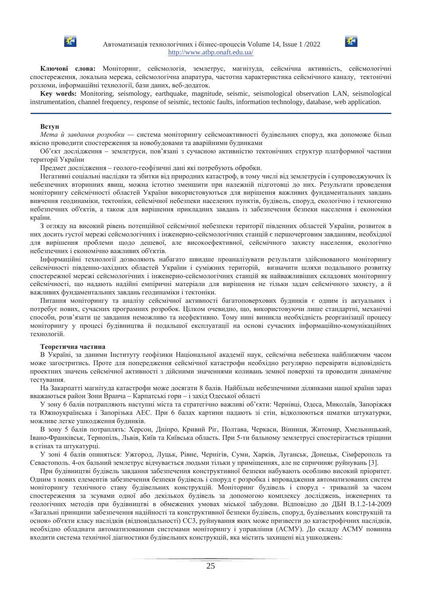



Ключові слова: Моніторинг, сейсмологія, землетрус, магнітуда, сейсмічна активність, сейсмологічні спостереження, локальна мережа, сейсмологічна апаратура, частотна характеристика сейсмічного каналу, тектонічні розломи, інформаційні технології, бази даних, веб-додаток.

**Key words:** Monitoring, seismology, earthquake, magnitude, seismic, seismological observation LAN, seismological instrumentation, channel frequency, response of seismic, tectonic faults, information technology, database, web application.

#### **Вступ**

*Мета й завдання розробки* — система моніторингу сейсмоактивності будівельних споруд, яка допоможе більш якісно проводити спостереження за новобудовами та аварійними будинками

Об'єкт дослідження – землетруси, пов'язані з сучасною активністю тектонічних структур платформної частини території України

Предмет дослідження – геолого-геофізичні дані які потребують обробки.

Негативні соціальні наслідки та збитки від природних катастроф, в тому числі від землетрусів і супроводжуючих їх небезпечних вторинних явищ, можна істотно зменшити при належній підготовці до них. Результати проведення моніторингу сейсмічності областей України використовуються для вирішення важливих фундаментальних завдань вивчення геодинаміки, тектоніки, сейсмічної небезпеки населених пунктів, будівель, споруд, екологічно і техногенно небезпечних об'єктів, а також для вирішення прикладних завдань із забезпечення безпеки населення і економіки країни.

З огляду на високий рівень потенційної сейсмічної небезпеки території південних областей України, розвиток в них досить густої мережі сейсмологічних і інженерно-сейсмологічних станцій є першочерговим завданням, необхідної для вирішення проблеми щодо дешевої, але високоефективної, сейсмічного захисту населення, екологічно небезпечних і економічно важливих об'єктів.

Інформаційні технології дозволяють набагато швидше проаналізувати результати здійснюваного моніторингу сейсмічності південно-західних областей України і суміжних територій, визначити шляхи подальшого розвитку спостережної мережі сейсмологічних і інженерно-сейсмологічних станцій як найважливіших складових моніторингу сейсмічності, що надають надійні емпіричні матеріали для вирішення не тільки задач сейсмічного захисту, а й важливих фунламентальних завлань геолинаміки і тектоніки.

Питання моніторингу та аналізу сейсмічної активності багатоповерхових будинків є одним із актуальних і потребує нових, сучасних програмних розробок. Цілком очевидно, що, використовуючи лише стандартні, механічні способи, розв'язати це завдання неможливо та неефективно. Тому нині виникла необхідність реорганізації процесу моніторингу у процесі будівництва й подальшої експлуатації на основі сучасних інформаційно-комунікаційних технологій.

#### **Теоретична частина**

В Україні, за даними Інституту геофізики Національної академії наук, сейсмічна небезпека найближчим часом може загостритись. Проте для попередження сейсмічної катастрофи необхідно регулярно перевіряти відповідність проектних значень сейсмічної активності з дійсними значеннями коливань земної поверхні та проводити динамічне тестування.

На Закарпатті магнітуда катастрофи може досягати 8 балів. Найбільш небезпечними ділянками нашої країни зараз вважаються район Зони Вранча - Карпатські гори - і захід Одеської області

У зону 6 балів потрапляють наступні міста та стратегічно важливі об'єкти: Чернівці, Одеса, Миколаїв, Запоріжжя та Южноукраїнська і Запорізька АЕС. При 6 балах картини падають зі стін, відколюються шматки штукатурки, можливе легке ушкодження будинків.

В зону 5 балів потраплять: Херсон, Дніпро, Кривий Ріг, Полтава, Черкаси, Вінниця, Житомир, Хмельницький, Iвано-Франківськ, Тернопіль, Львів, Київ та Київська область. При 5-ти бальному землетрусі спостерігається тріщини в стінах та штукатурці.

У зоні 4 балів опиняться: Ужгород, Луцьк, Рівне, Чернігів, Суми, Харків, Луганськ, Донецьк, Сімферополь та Севастополь. 4-ох бальний землетрус відчувається людьми тільки у приміщеннях, але не спричиняє руйнувань [3].

При будівництві будівель завдання забезпечення конструктивної безпеки набувають особливо високий пріоритет. Одним з нових елементів забезпечення безпеки будівель і споруд є розробка і впровадження автоматизованих систем моніторингу технічного стану будівельних конструкцій. Моніторинг будівель і споруд - тривалий за часом спостереження за зсувами одної або декількох будівель за допомогою комплексу досліджень, інженерних та геологічних методів при будівництві в обмежених умовах міської забудови. Відповідно до ДБН В.1.2-14-2009 «Загальні принципи забезпечення надійності та конструктивної безпеки будівель, споруд, будівельних конструкцій та основ» об'єкти класу наслідків (відповідальності) ССЗ, руйнування яких може призвести до катастрофічних наслідків, необхідно обладнати автоматизованими системами моніторингу і управління (ACMУ). До складу ACMУ повинна входити система технічної діагностики будівельних конструкцій, яка містить захищені від ушкоджень: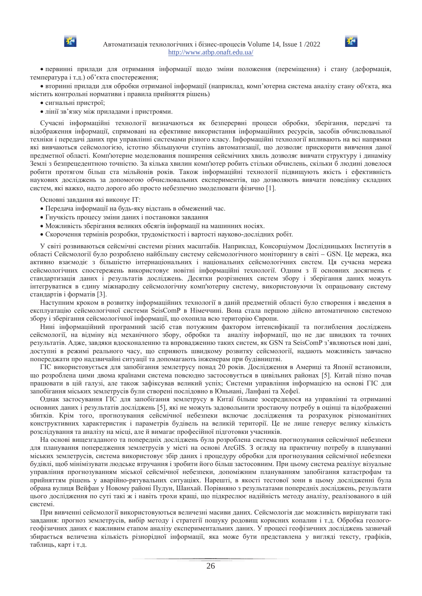



• первинні прилади для отримання інформації щодо зміни положення (переміщення) і стану (деформація, температура і т.д.) об'єкта спостереження;

• вторинні прилади для обробки отриманої інформації (наприклад, комп'ютерна система аналізу стану об'єкта, яка містить контрольні нормативи і правила прийняття рішень)

- сигнальні пристрої;
- лінії зв'язку між приладами і пристроями.

Сучасні інформаційні технології визначаються як безперервні процеси обробки, зберігання, передачі та відображення інформації, спрямовані на ефективне використання інформаційних ресурсів, засобів обчислювальної техніки і передачі даних при управлінні системами різного класу. Інформаційні технології впливають на всі напрямки які вивчаються сейсмологією, істотно збільшуючи ступінь автоматизації, що дозволяє прискорити вивчення даної предметної області. Комп'ютерне моделювання поширення сейсмічних хвиль дозволяє вивчати структуру і динаміку Землі з безпрецедентною точністю. За кілька хвилин комп'ютер робить стільки обчислень, скільки б людині довелося робити протягом більш ста мільйонів років. Також інформаційні технології підвищують якість і ефективність наукових досліджень за допомогою обчислювальних експериментів, що дозволяють вивчати поведінку складних систем, які важко, надто дорого або просто небезпечно змоделювати фізично [1].

Основні завдання які виконує ІТ:

- Передача інформації на будь-яку відстань в обмежений час.
- Гнучкість процесу зміни даних і постановки завдання
- Можливість зберігання великих обсягів інформації на машинних носіях.
- Скорочення термінів розробки, трудомісткості і вартості науково-дослідних робіт.

У світі розвиваються сейсмічні системи різних масштабів. Наприклад, Консорціумом Дослідницьких Інститутів в області Сейсмології було розроблено найбільшу систему сейсмологічного моніторингу в світі – GSN. Це мережа, яка активно взаємоліє з більшістю інтернаціональних і національних сейсмологічних систем. Ця сучасна мережа сейсмологічних спостережень використовує новітні інформаційні технології. Одним з її основних досягнень є стандартизація даних і результатів досліджень. Десятки розрізнених систем збору і зберігання даних можуть інтегруватися в єдину міжнародну сейсмологічну комп'ютерну систему, використовуючи їх опрацьовану систему стандартів і форматів [3].

Наступним кроком в розвитку інформаційних технології в даній предметній області було створення і введення в експлуатацію сейсмологічної системи SeisComP в Німеччині. Вона стала першою дійсно автоматичною системою збору і зберігання сейсмологічної інформації, що охопила всю територію Європи.

Нині інформаційний програмний засіб став потужним фактором інтенсифікації та поглиблення досліджень сейсмології, на відміну від механічного збору, обробки та аналізу інформації, що не дає швидких та точних результатів. Адже, завдяки вдосконаленню та впровадженню таких систем, як GSN та SeisComP з'являються нові дані, доступні в режимі реального часу, що сприяють швидкому розвитку сейсмології, надають можливість завчасно попереджати про надзвичайні ситуації та допомагають інженерам при будівництві.

ГІС використовується для запобігання землетрусу понад 20 років. Дослідження в Америці та Японії встановили, що розроблена цими двома країнами система повсюдно застосовується в цивільних районах [5]. Китай пізно почав працювати в цій галузі, але також зафіксував великий успіх; Системи управління інформацією на основі ГІС для запобігання міських землетрусів були створені послідовно в Юньнані, Ланфані та Хефеї.

Однак застосування ГІС для запобігання землетрусу в Китаї більше зосередилося на управлінні та отриманні основних даних і результатів досліджень [5], які не можуть задовольнити зростаючу потребу в оцінці та відображенні збитків. Крім того, прогнозування сейсмічної небезпеки включає дослідження та розрахунок різноманітних конструктивних характеристик і параметрів будівель на великій території. Це не лише генерує велику кількість розслідування та аналізу на місці, але й вимагає професійної підготовки учасників.

На основі вищезгаданого та попередніх досліджень була розроблена система прогнозування сейсмічної небезпеки для планування попередження землетрусів у місті на основі ArcGIS. З огляду на практичну потребу в плануванні міських землетрусів, система використовує збір даних і процедуру обробки для прогнозування сейсмічної небезпеки будівлі, щоб мінімізувати людське втручання і зробити його більш застосовним. При цьому система реалізує візуальне управління прогнозуванням міської сейсмічної небезпеки, допоміжним плануванням запобігання катастрофам та прийняттям рішень у аварійно-рятувальних ситуаціях. Нарешті, в якості тестової зони в цьому дослідженні була обрана вулиця Вейфан у Новому районі Пудун, Шанхай. Порівняно з результатами попередніх досліджень, результати цього дослідження по суті такі ж і навіть трохи кращі, що підкреслює надійність методу аналізу, реалізованого в цій системі.

При вивченні сейсмології використовуються величезні масиви даних. Сейсмологія дає можливість вирішувати такі завдання: прогноз землетрусів, вибір методу і стратегії пошуку родовищ корисних копалин і т.д. Обробка геологогеофізичних даних є важливим етапом аналізу експериментальних даних. У процесі геофізичних досліджень зазвичай збирається величезна кількість різнорідної інформації, яка може бути представлена у вигляді тексту, графіків, таблиць, карт і т.д.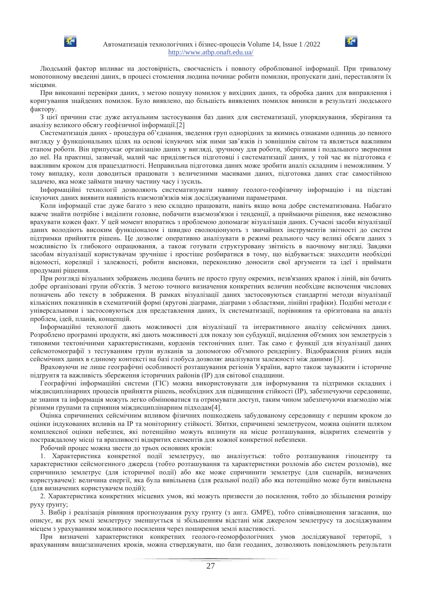



Людський фактор впливає на достовірність, своєчасність і повноту оброблюваної інформації. При тривалому монотонному введенні даних, в процесі стомлення людина починає робити помилки, пропускати дані, переставляти їх місцями.

При виконанні перевірки даних, з метою пошуку помилок у вихідних даних, та обробка даних для виправлення і коригування знайдених помилок. Було виявлено, що більшість виявлених помилок виникли в результаті людського фактору.

З цієї причини стає дуже актуальним застосування баз даних для систематизації, упорядкування, зберігання та аналізу великого обсягу геофізичної інформації.[2]

Систематизація даних - процедура об'єднання, зведення груп однорідних за якимись ознаками одиниць до певного вигляду у функціональних цілях на основі існуючих між ними зав'язків із зовнішнім світом та являється важливим етапом роботи. Він припускає організацію даних у вигляді, зручному для роботи, зберігання і подальшого звернення до неї. На практиці, зазвичай, малий час приділяється підготовці і систематизації даних, у той час як підготовка є важливим кроком для працездатності. Неправильна підготовка даних може зробити аналіз складним і неможливим. У тому випадку, коли доводиться працювати з величезними масивами даних, підготовка даних стає самостійною задачею, яка може займати значну частину часу і зусиль.

Інформаційні технології дозволяють систематизувати наявну геолого-геофізичну інформацію і на підставі існуючих даних виявити наявність взаємозв'язків між досліджуваними параметрами.

Коли інформації стає дуже багато з нею складно працювати, навіть якщо вона добре систематизована. Набагато важче знайти потрібне і виділити головне, побачити взаємозв'язки і тенденції, а приймаючи рішення, вже неможливо врахувати кожен факт. У цей момент впоратись з проблемою допомагає візуалізація даних. Сучасні засоби візуалізації даних володіють високим функціоналом і швидко еволюціонують з звичайних інструментів звітності до систем підтримки прийняття рішень. Це дозволяє оперативно аналізувати в режимі реального часу великі обсяги даних з можливістю їх глибокого опрацювання, а також готувати структуровану звітність в наочному вигляді. Завдяки засобам візуалізації користувачам зручніше і простіше розбиратися в тому, що вілбувається: знахолити необхілні відомості, кореляції і залежності, робити висновки, переконливо доносити свої аргументи та ідеї і приймати продумані рішення.

При розгляді візуальних зображень людина бачить не просто групу окремих, незв'язаних крапок і ліній, він бачить добре організовані групи об'єктів. З метою точного визначення конкретних величин необхідне включення числових позначень або тексту в зображення. В рамках візуалізації даних застосовуються стандартні методи візуалізації кількісних показників в схематичній формі (кругові діаграми, діаграми з областями, лінійні графіки). Подібні методи є універсальними і застосовуються для представлення даних, їх систематизації, порівняння та орієнтована на аналіз проблем, ідей, планів, концепцій.

Інформаційні технології дають можливості для візуалізації та інтерактивного аналізу сейсмічних даних. Розроблено програмні продукти, які дають можливості для показу зон субдукції, виділення об'ємних зон землетрусів з типовими тектонічними характеристиками, кордонів тектонічних плит. Так само є функції для візуалізації даних сейсмотомографії з тестуванням групи вулканів за допомогою об'ємного рендерінгу. Відображення різних видів сейсмічних даних в єдиному контексті на базі глобуса дозволяє аналізувати залежності між даними [3].

Враховуючи не лише географічні особливості розташування регіонів України, варто також зауважити і історичне підгрунтя та важливість збереження історичних районів (IP) для світової спадщини.

Географічні інформаційні системи (ГІС) можна використовувати для інформування та підтримки складних і міждисциплінарних процесів прийняття рішень, необхідних для підвищення стійкості (IP), забезпечуючи середовище, де знання та інформація можуть легко обмінюватися та отримувати доступ, таким чином забезпечуючи взаємодію між різними групами та сприяння міждисциплінарним підходам[4].

Оцінка спричинених сейсмічним впливом фізичних пошкоджень забудованому середовищу є першим кроком до оцінки індукованих впливів на IP та моніторингу стійкості. Збитки, спричинені землетрусом, можна оцінити шляхом комплексної оцінки небезпек, які потенційно можуть вплинути на місце розташування, відкритих елементів у постраждалому місці та вразливості відкритих елементів для кожної конкретної небезпеки.

Робочий процес можна звести до трьох основних кроків:

1. Характеристика конкретної події землетрусу, що аналізується: тобто розташування гіпоцентру та характеристики сейсмогенного джерела (тобто розташування та характеристики розломів або систем розломів), яке спричинило землетрус (для історичної події) або яке може спричинити землетрус (для сценаріїв, визначених користувачем): величина енергії, яка була вивільнена (для реальної події) або яка потенційно може бути вивільнена (для визначених користувачем подій);

2. Характеристика конкретних місцевих умов, які можуть призвести до посилення, тобто до збільшення розміру руху грунту;

3. Вибір і реалізація рівняння прогнозування руху грунту (з англ. GMPE), тобто співвідношення загасання, що описує, як рух землі землетрусу зменшується зі збільшенням відстані між джерелом землетрусу та досліджуваним місцем з урахуванням можливого посилення через поширення землі властивості.

При визначені характеристики конкретних геолого-геоморфологічних умов досліджуваної території, з врахуванням вищезазначених кроків, можна стверджувати, що бази геоданих, дозволяють повідомляють результати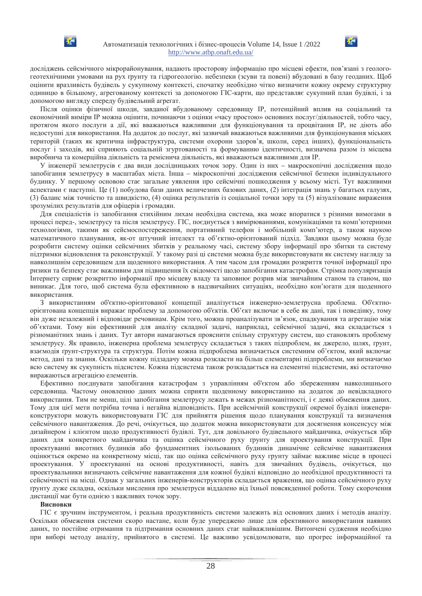



досліджень сейсмічного мікрорайонування, надають просторову інформацію про місцеві ефекти, пов'язані з геологогеотехнічними умовами на рух ґрунту та гідрогеологію. небезпеки (зсуви та повені) вбудовані в базу геоданих. Щоб оцінити вразливість будівель у сукупному контексті, спочатку необхідно чітко визначити кожну окрему структурну одиницю в більшому, агрегованому контексті за допомогою ГІС-карти, що представляє сукупний план будівлі, і за допомогою вигляду спереду будівельний агрегат.

Після оцінки фізичної шкоди, завданої вбудованому середовищу IP, потенційний вплив на соціальний та економічний виміри IP можна оцінити, починаючи з оцінки «часу простою» основних послуг/діяльностей, тобто часу, протягом якого послуги а дії, які вважаються важливими для функціонування та процвітання IP, не діють або недоступні для використання. На додаток до послуг, які зазвичай вважаються важливими для функціонування міських територій (таких як критична інфраструктура, системи охорони здоров'я, школи, серед інших), функціональність послуг і заходів, які сприяють соціальній згуртованості та формуванню ідентичності, визначена разом із місцева виробнича та комерційна діяльність та реміснича діяльність, які вважаються важливими для IP.

У інженерії землетрусів є два види дослідницьких точок зору. Один із них – макроскопічні дослідження щодо запобігання землетрусу в масштабах міста. Інша – мікроскопічні дослідження сейсмічної безпеки індивідуального будинку. У першому основою стає загальне уявлення про сейсмічні пошкодження у всьому місті. Тут важливими аспектами є наступні. Це (1) побудова бази даних величезних базових даних, (2) інтеграція знань у багатьох галузях, (3) баланс між точністю та швидкістю, (4) оцінка результатів із соціальної точки зору та (5) візуалізоване вираження зрозумілих результатів для офіцерів і громадян.

Для спеціалістів із запобігання стихійним лихам необхідна система, яка може впоратися з різними вимогами в процесі перед-, землетрусу та після землетрусу. ГІС, поєднується з вимірюваннями, комунікаціями та комп'ютерними технологіями, такими як сейсмоспостереження, портативний телефон і мобільний комп'ютер, а також наукою математичного планування, як-от штучний інтелект та об'єктно-орієнтований підхід. Завдяки цьому можна буде розробити систему оцінки сейсмічних збитків у реальному часі, систему збору інформації про збитки та систему пілтримки вілновлення та реконструкції. У такому разі ці системи можна буле використовувати як систему наглялу за навколишнім середовищем для щоденного використання. А тим часом для громадян розкриття точної інформації про ризики та безпеку стає важливим для підвищення їх свідомості щодо запобігання катастрофам. Стрімка популяризація Інтернету сприяє розкриттю інформації про місцеву владу та заповнює розрив між звичайним станом та станом, що виникає. Для того, щоб система була ефективною в надзвичайних ситуаціях, необхідно кон'югати для щоденного використання.

З використанням об'єктно-орієнтованої концепції аналізується інженерно-землетрусна проблема. Об'єктноорієнтована концепція виражає проблему за допомогою об'єктів. Об'єкт включає в себе як дані, так і поведінку, тому він дуже незалежний і відповідає речовинам. Крім того, можна проаналізувати зв'язок, спадкування та агрегацію між об'єктами. Тому він ефективний для аналізу складної задачі, наприклад, сейсмічної задачі, яка складається з різноманітних знань і даних. Тут автори намагаються прояснити спільну структуру систем, що становлять проблему землетрусу. Як правило, інженерна проблема землетрусу складається з таких підпроблем, як джерело, шлях, ґрунт, взаємодія ґрунт-структура та структура. Потім кожна підпроблема визначається системним об'єктом, який включає метод, дані та знання. Оскільки кожну підзадачу можна розкласти на більш елементарні підпроблеми, ми визначаємо всю систему як сукупність підсистем. Кожна підсистема також розкладається на елементні підсистеми, які остаточно виражаються агрегацією елементів.

Ефективно поєднувати запобігання катастрофам з управлінням об'єктом або збереженням навколишнього середовища. Частому оновленню даних можна сприяти щоденному використанню на додаток до невідкладного використання. Тим не менш, цілі запобігання землетрусу лежать в межах різноманітності, і є деякі обмеження даних. Тому для цієї мети потрібна точна і негайна відповідність. При асейсмічній конструкції окремої будівлі інженериконструктори можуть використовувати ГІС для прийняття рішення щодо планування конструкції та визначення сейсмічного навантаження. До речі, очікується, що додаток можна використовувати для досягнення консенсусу між дизайнером і клієнтом щодо продуктивності будівлі. Тут, для довільного будівельного майданчика, очікується збір даних для конкретного майданчика та оцінка сейсмічного руху грунту для проектування конструкції. При проектуванні висотних будинків або фундаментних ізольованих будинків динамічне сейсмічне навантаження оцінюється окремо на конкретному місці, так що оцінка сейсмічного руху грунту займає важливе місце в процесі проектування. У проектуванні на основі продуктивності, навіть для звичайних будівель, очікується, що проектувальники визначають сейсмічне навантаження для кожної будівлі відповідно до необхідної продуктивності та сейсмічності на місці. Однак у загальних інженерів-конструкторів складається враження, що оцінка сейсмічного руху грунту дуже складна, оскільки мислення про землетруси віддалено від їхньої повсякденної роботи. Тому скорочення дистанції має бути однією з важливих точок зору.

#### **Висновки**

ГІС є зручним інструментом, і реальна продуктивність системи залежить від основних даних і методів аналізу. Оскільки обмеження системи скоро настане, коли буде упереджено лише для ефективного використання наявних даних, то постійне отримання та підтримання основних даних стає найважливішим. Витончені судження необхідно при виборі методу аналізу, прийнятого в системі. Це важливо усвідомлювати, що прогрес інформаційної та